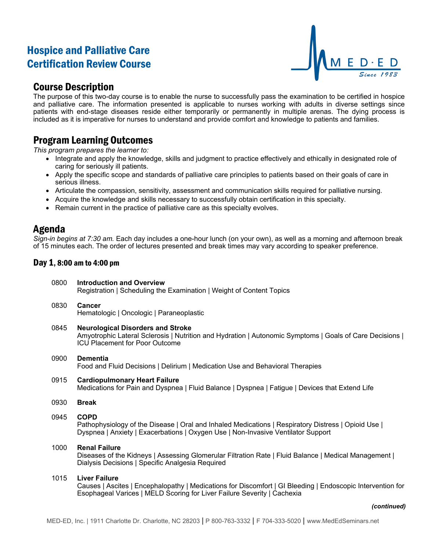# Hospice and Palliative Care Certification Review Course



## Course Description

The purpose of this two-day course is to enable the nurse to successfully pass the examination to be certified in hospice and palliative care. The information presented is applicable to nurses working with adults in diverse settings since patients with end-stage diseases reside either temporarily or permanently in multiple arenas. The dying process is included as it is imperative for nurses to understand and provide comfort and knowledge to patients and families.

# Program Learning Outcomes

*This program prepares the learner to:*

- Integrate and apply the knowledge, skills and judgment to practice effectively and ethically in designated role of caring for seriously ill patients.
- Apply the specific scope and standards of palliative care principles to patients based on their goals of care in serious illness.
- Articulate the compassion, sensitivity, assessment and communication skills required for palliative nursing.
- Acquire the knowledge and skills necessary to successfully obtain certification in this specialty.
- Remain current in the practice of palliative care as this specialty evolves.

### Agenda

*Sign-in begins at 7:30 am.* Each day includes a one-hour lunch (on your own), as well as a morning and afternoon break of 15 minutes each. The order of lectures presented and break times may vary according to speaker preference.

### Day 1, 8:00 am to 4:00 pm

- 0800 **Introduction and Overview** Registration | Scheduling the Examination | Weight of Content Topics
- 0830 **Cancer** Hematologic | Oncologic | Paraneoplastic
- 0845 **Neurological Disorders and Stroke** Amyotrophic Lateral Sclerosis | Nutrition and Hydration | Autonomic Symptoms | Goals of Care Decisions | ICU Placement for Poor Outcome
- 0900 **Dementia** Food and Fluid Decisions | Delirium | Medication Use and Behavioral Therapies
- 0915 **Cardiopulmonary Heart Failure** Medications for Pain and Dyspnea | Fluid Balance | Dyspnea | Fatigue | Devices that Extend Life
- 0930 **Break**
- 0945 **COPD**

Pathophysiology of the Disease | Oral and Inhaled Medications | Respiratory Distress | Opioid Use | Dyspnea | Anxiety | Exacerbations | Oxygen Use | Non-Invasive Ventilator Support

1000 **Renal Failure**

Diseases of the Kidneys | Assessing Glomerular Filtration Rate | Fluid Balance | Medical Management | Dialysis Decisions | Specific Analgesia Required

#### 1015 **Liver Failure**

Causes | Ascites | Encephalopathy | Medications for Discomfort | GI Bleeding | Endoscopic Intervention for Esophageal Varices | MELD Scoring for Liver Failure Severity | Cachexia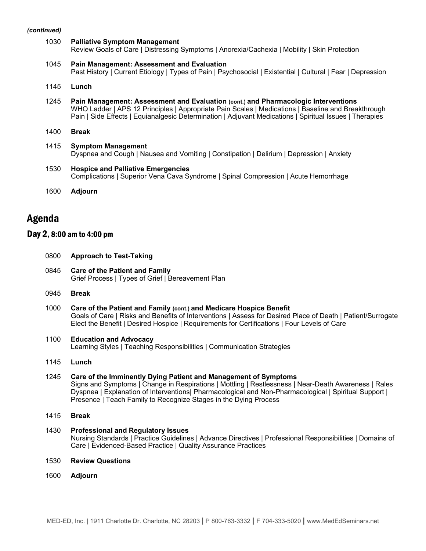#### *(continued)*

| 1030 | <b>Palliative Symptom Management</b><br>Review Goals of Care   Distressing Symptoms   Anorexia/Cachexia   Mobility   Skin Protection                                                                                                                                                                |
|------|-----------------------------------------------------------------------------------------------------------------------------------------------------------------------------------------------------------------------------------------------------------------------------------------------------|
| 1045 | <b>Pain Management: Assessment and Evaluation</b><br>Past History   Current Etiology   Types of Pain   Psychosocial   Existential   Cultural   Fear   Depression                                                                                                                                    |
| 1145 | Lunch                                                                                                                                                                                                                                                                                               |
| 1245 | Pain Management: Assessment and Evaluation (cont.) and Pharmacologic Interventions<br>WHO Ladder   APS 12 Principles   Appropriate Pain Scales   Medications   Baseline and Breakthrough<br>Pain   Side Effects   Equianalgesic Determination   Adjuvant Medications   Spiritual Issues   Therapies |
| 1400 | <b>Break</b>                                                                                                                                                                                                                                                                                        |
| 1415 | <b>Symptom Management</b><br>Dyspnea and Cough   Nausea and Vomiting   Constipation   Delirium   Depression   Anxiety                                                                                                                                                                               |
| 1530 | <b>Hospice and Palliative Emergencies</b><br>Complications   Superior Vena Cava Syndrome   Spinal Compression   Acute Hemorrhage                                                                                                                                                                    |
|      |                                                                                                                                                                                                                                                                                                     |
| 1600 | <b>Adjourn</b>                                                                                                                                                                                                                                                                                      |

## Agenda

### Day 2, 8:00 am to 4:00 pm

0800 **Approach to Test-Taking**

| 0845 Care of the Patient and Family               |
|---------------------------------------------------|
| Grief Process   Types of Grief   Bereavement Plan |

- 0945 **Break**
- 1000 **Care of the Patient and Family (cont.) and Medicare Hospice Benefit** Goals of Care | Risks and Benefits of Interventions | Assess for Desired Place of Death | Patient/Surrogate Elect the Benefit | Desired Hospice | Requirements for Certifications | Four Levels of Care
- 1100 **Education and Advocacy** Learning Styles | Teaching Responsibilities | Communication Strategies
- 1145 **Lunch**
- 1245 **Care of the Imminently Dying Patient and Management of Symptoms** Signs and Symptoms | Change in Respirations | Mottling | Restlessness | Near-Death Awareness | Rales Dyspnea | Explanation of Interventions| Pharmacological and Non-Pharmacological | Spiritual Support | Presence | Teach Family to Recognize Stages in the Dying Process
- 1415 **Break**
- 1430 **Professional and Regulatory Issues** Nursing Standards | Practice Guidelines | Advance Directives | Professional Responsibilities | Domains of Care | Evidenced-Based Practice | Quality Assurance Practices
- 1530 **Review Questions**
- 1600 **Adjourn**